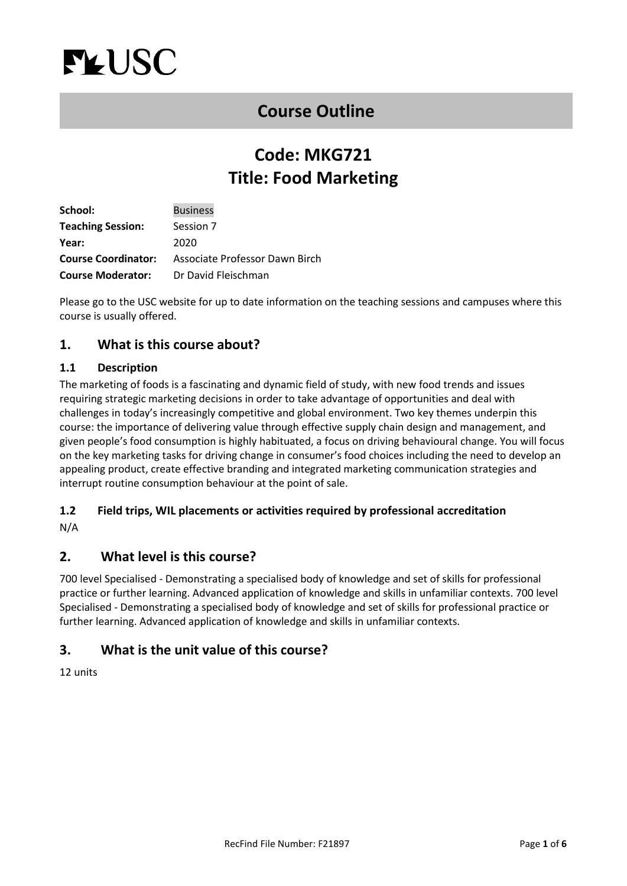<span id="page-0-0"></span>

# **[Course Outline](#page-0-0)**

# **Code: MKG721 Title: Food Marketing**

| School:                    | <b>Business</b>                |
|----------------------------|--------------------------------|
| <b>Teaching Session:</b>   | Session 7                      |
| Year:                      | 2020                           |
| <b>Course Coordinator:</b> | Associate Professor Dawn Birch |
| <b>Course Moderator:</b>   | Dr David Fleischman            |

Please go to the USC website for up to date information on the teaching sessions and campuses where this course is usually offered.

## **1. What is this course about?**

#### **1.1 Description**

The marketing of foods is a fascinating and dynamic field of study, with new food trends and issues requiring strategic marketing decisions in order to take advantage of opportunities and deal with challenges in today's increasingly competitive and global environment. Two key themes underpin this course: the importance of delivering value through effective supply chain design and management, and given people's food consumption is highly habituated, a focus on driving behavioural change. You will focus on the key marketing tasks for driving change in consumer's food choices including the need to develop an appealing product, create effective branding and integrated marketing communication strategies and interrupt routine consumption behaviour at the point of sale.

# **1.2 Field trips, WIL placements or activities required by professional accreditation**

N/A

## **2. What level is this course?**

700 level Specialised - Demonstrating a specialised body of knowledge and set of skills for professional practice or further learning. Advanced application of knowledge and skills in unfamiliar contexts. 700 level Specialised - Demonstrating a specialised body of knowledge and set of skills for professional practice or further learning. Advanced application of knowledge and skills in unfamiliar contexts.

## **3. What is the unit value of this course?**

12 units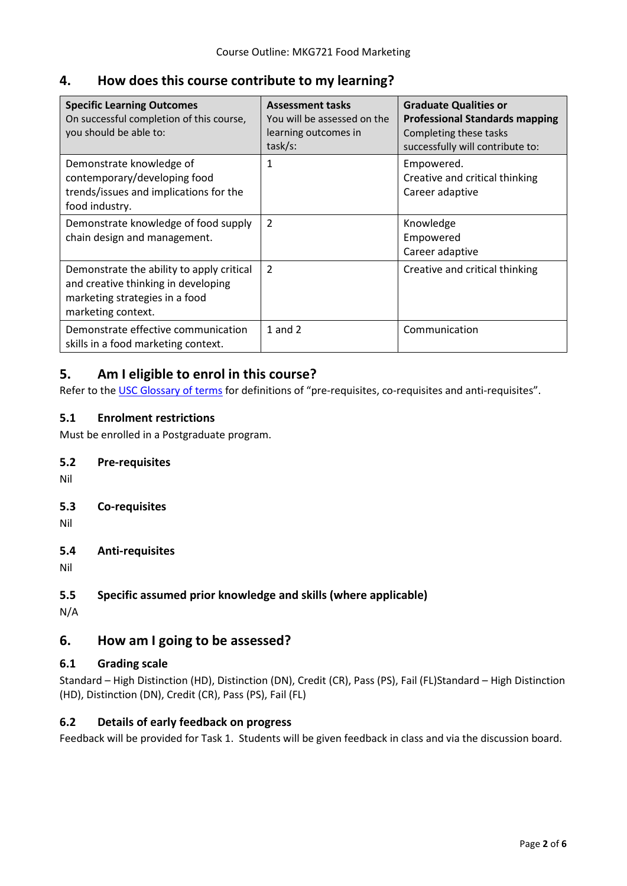## **4. How does this course contribute to my learning?**

| <b>Specific Learning Outcomes</b><br>On successful completion of this course,<br>you should be able to:                                  | <b>Assessment tasks</b><br>You will be assessed on the<br>learning outcomes in<br>task/s: | <b>Graduate Qualities or</b><br><b>Professional Standards mapping</b><br>Completing these tasks<br>successfully will contribute to: |
|------------------------------------------------------------------------------------------------------------------------------------------|-------------------------------------------------------------------------------------------|-------------------------------------------------------------------------------------------------------------------------------------|
| Demonstrate knowledge of<br>contemporary/developing food<br>trends/issues and implications for the<br>food industry.                     | 1                                                                                         | Empowered.<br>Creative and critical thinking<br>Career adaptive                                                                     |
| Demonstrate knowledge of food supply<br>chain design and management.                                                                     | 2                                                                                         | Knowledge<br>Empowered<br>Career adaptive                                                                                           |
| Demonstrate the ability to apply critical<br>and creative thinking in developing<br>marketing strategies in a food<br>marketing context. | $\overline{2}$                                                                            | Creative and critical thinking                                                                                                      |
| Demonstrate effective communication<br>skills in a food marketing context.                                                               | 1 and $2$                                                                                 | Communication                                                                                                                       |

## **5. Am I eligible to enrol in this course?**

Refer to th[e USC Glossary of terms](http://www.usc.edu.au/learn/the-usc-experience/study-locations/study-at-caboolture/glossary-of-terms) for definitions of "pre-requisites, co-requisites and anti-requisites".

### **5.1 Enrolment restrictions**

Must be enrolled in a Postgraduate program.

**5.2 Pre-requisites**

Nil

**5.3 Co-requisites**

Nil

**5.4 Anti-requisites**

Nil

**5.5 Specific assumed prior knowledge and skills (where applicable)**

N/A

## **6. How am I going to be assessed?**

### **6.1 Grading scale**

Standard – High Distinction (HD), Distinction (DN), Credit (CR), Pass (PS), Fail (FL)Standard – High Distinction (HD), Distinction (DN), Credit (CR), Pass (PS), Fail (FL)

#### **6.2 Details of early feedback on progress**

Feedback will be provided for Task 1. Students will be given feedback in class and via the discussion board.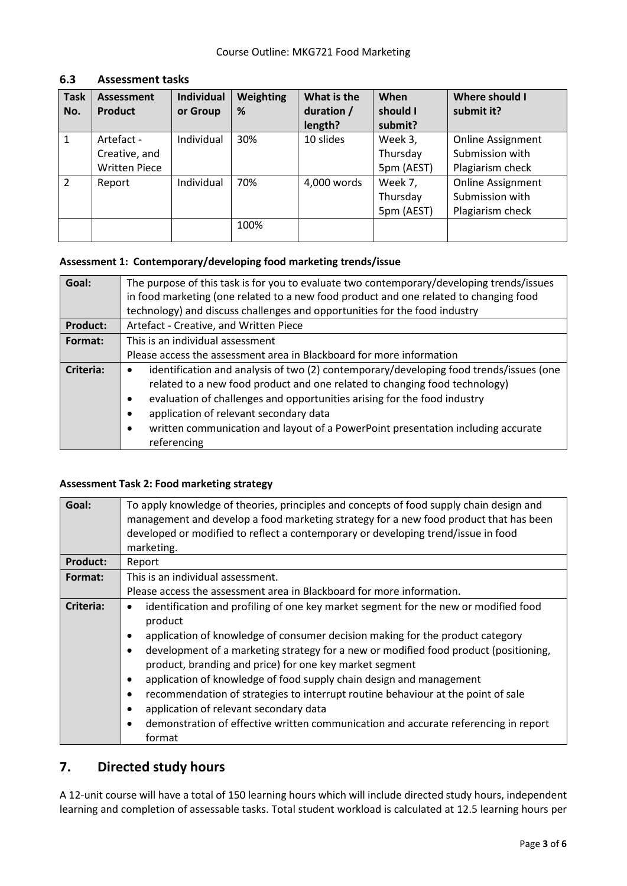| <b>Task</b><br>No. | Assessment<br><b>Product</b> | <b>Individual</b><br>or Group | <b>Weighting</b><br>% | What is the<br>duration /<br>length? | When<br>should I<br>submit? | Where should I<br>submit it? |
|--------------------|------------------------------|-------------------------------|-----------------------|--------------------------------------|-----------------------------|------------------------------|
| 1                  | Artefact -                   | Individual                    | 30%                   | 10 slides                            | Week 3,                     | <b>Online Assignment</b>     |
|                    | Creative, and                |                               |                       |                                      | Thursday                    | Submission with              |
|                    | <b>Written Piece</b>         |                               |                       |                                      | 5pm (AEST)                  | Plagiarism check             |
| 2                  | Report                       | Individual                    | 70%                   | 4,000 words                          | Week 7,                     | <b>Online Assignment</b>     |
|                    |                              |                               |                       |                                      | Thursday                    | Submission with              |
|                    |                              |                               |                       |                                      | 5pm (AEST)                  | Plagiarism check             |
|                    |                              |                               | 100%                  |                                      |                             |                              |

#### **6.3 Assessment tasks**

#### **Assessment 1: Contemporary/developing food marketing trends/issue**

| Goal:           | The purpose of this task is for you to evaluate two contemporary/developing trends/issues<br>in food marketing (one related to a new food product and one related to changing food                                                                                                                                                                                                                                                                |  |  |
|-----------------|---------------------------------------------------------------------------------------------------------------------------------------------------------------------------------------------------------------------------------------------------------------------------------------------------------------------------------------------------------------------------------------------------------------------------------------------------|--|--|
|                 | technology) and discuss challenges and opportunities for the food industry                                                                                                                                                                                                                                                                                                                                                                        |  |  |
| <b>Product:</b> | Artefact - Creative, and Written Piece                                                                                                                                                                                                                                                                                                                                                                                                            |  |  |
| Format:         | This is an individual assessment                                                                                                                                                                                                                                                                                                                                                                                                                  |  |  |
|                 | Please access the assessment area in Blackboard for more information                                                                                                                                                                                                                                                                                                                                                                              |  |  |
| Criteria:       | identification and analysis of two (2) contemporary/developing food trends/issues (one<br>$\bullet$<br>related to a new food product and one related to changing food technology)<br>evaluation of challenges and opportunities arising for the food industry<br>$\bullet$<br>application of relevant secondary data<br>$\bullet$<br>written communication and layout of a PowerPoint presentation including accurate<br>$\bullet$<br>referencing |  |  |

#### **Assessment Task 2: Food marketing strategy**

| Goal:            | To apply knowledge of theories, principles and concepts of food supply chain design and<br>management and develop a food marketing strategy for a new food product that has been<br>developed or modified to reflect a contemporary or developing trend/issue in food<br>marketing.                                                                                                                                                                                                                                                                                                                                                                                                                                                 |  |  |
|------------------|-------------------------------------------------------------------------------------------------------------------------------------------------------------------------------------------------------------------------------------------------------------------------------------------------------------------------------------------------------------------------------------------------------------------------------------------------------------------------------------------------------------------------------------------------------------------------------------------------------------------------------------------------------------------------------------------------------------------------------------|--|--|
| <b>Product:</b>  | Report                                                                                                                                                                                                                                                                                                                                                                                                                                                                                                                                                                                                                                                                                                                              |  |  |
| Format:          | This is an individual assessment.                                                                                                                                                                                                                                                                                                                                                                                                                                                                                                                                                                                                                                                                                                   |  |  |
|                  | Please access the assessment area in Blackboard for more information.                                                                                                                                                                                                                                                                                                                                                                                                                                                                                                                                                                                                                                                               |  |  |
| <b>Criteria:</b> | identification and profiling of one key market segment for the new or modified food<br>$\bullet$<br>product<br>application of knowledge of consumer decision making for the product category<br>$\bullet$<br>development of a marketing strategy for a new or modified food product (positioning,<br>$\bullet$<br>product, branding and price) for one key market segment<br>application of knowledge of food supply chain design and management<br>$\bullet$<br>recommendation of strategies to interrupt routine behaviour at the point of sale<br>$\bullet$<br>application of relevant secondary data<br>$\bullet$<br>demonstration of effective written communication and accurate referencing in report<br>$\bullet$<br>format |  |  |

## **7. Directed study hours**

A 12-unit course will have a total of 150 learning hours which will include directed study hours, independent learning and completion of assessable tasks. Total student workload is calculated at 12.5 learning hours per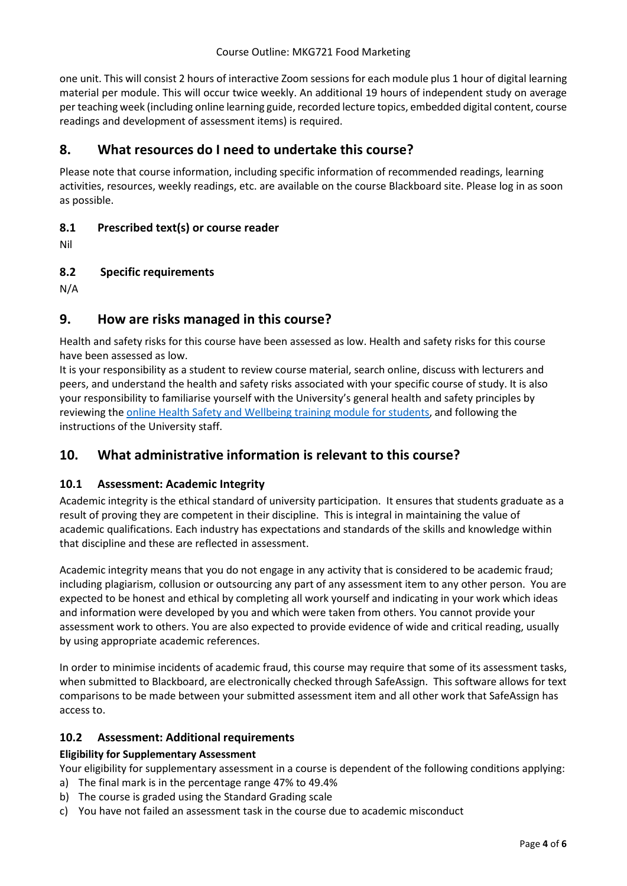one unit. This will consist 2 hours of interactive Zoom sessions for each module plus 1 hour of digital learning material per module. This will occur twice weekly. An additional 19 hours of independent study on average per teaching week (including online learning guide, recorded lecture topics, embedded digital content, course readings and development of assessment items) is required.

### **8. What resources do I need to undertake this course?**

Please note that course information, including specific information of recommended readings, learning activities, resources, weekly readings, etc. are available on the course Blackboard site. Please log in as soon as possible.

### **8.1 Prescribed text(s) or course reader**

Nil

### **8.2 Specific requirements**

N/A

### **9. How are risks managed in this course?**

Health and safety risks for this course have been assessed as low. Health and safety risks for this course have been assessed as low.

It is your responsibility as a student to review course material, search online, discuss with lecturers and peers, and understand the health and safety risks associated with your specific course of study. It is also your responsibility to familiarise yourself with the University's general health and safety principles by reviewing the [online Health Safety and Wellbeing training](https://online.usc.edu.au/webapps/blackboard/content/listContentEditable.jsp?content_id=_632657_1&course_id=_14432_1) module for students, and following the instructions of the University staff.

## **10. What administrative information is relevant to this course?**

### **10.1 Assessment: Academic Integrity**

Academic integrity is the ethical standard of university participation. It ensures that students graduate as a result of proving they are competent in their discipline. This is integral in maintaining the value of academic qualifications. Each industry has expectations and standards of the skills and knowledge within that discipline and these are reflected in assessment.

Academic integrity means that you do not engage in any activity that is considered to be academic fraud; including plagiarism, collusion or outsourcing any part of any assessment item to any other person. You are expected to be honest and ethical by completing all work yourself and indicating in your work which ideas and information were developed by you and which were taken from others. You cannot provide your assessment work to others. You are also expected to provide evidence of wide and critical reading, usually by using appropriate academic references.

In order to minimise incidents of academic fraud, this course may require that some of its assessment tasks, when submitted to Blackboard, are electronically checked through SafeAssign. This software allows for text comparisons to be made between your submitted assessment item and all other work that SafeAssign has access to.

#### **10.2 Assessment: Additional requirements**

#### **Eligibility for Supplementary Assessment**

Your eligibility for supplementary assessment in a course is dependent of the following conditions applying:

- a) The final mark is in the percentage range 47% to 49.4%
- b) The course is graded using the Standard Grading scale
- c) You have not failed an assessment task in the course due to academic misconduct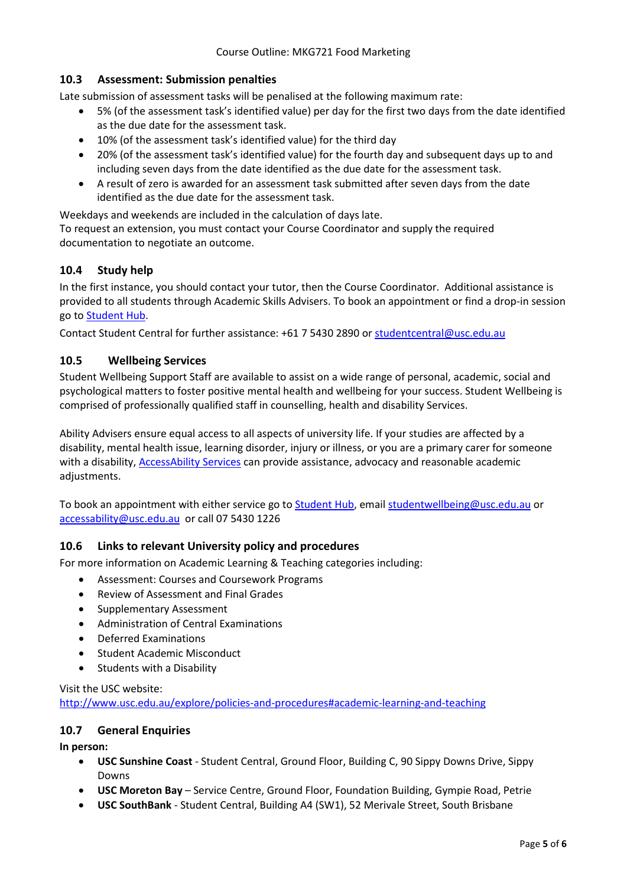#### **10.3 Assessment: Submission penalties**

Late submission of assessment tasks will be penalised at the following maximum rate:

- 5% (of the assessment task's identified value) per day for the first two days from the date identified as the due date for the assessment task.
- 10% (of the assessment task's identified value) for the third day
- 20% (of the assessment task's identified value) for the fourth day and subsequent days up to and including seven days from the date identified as the due date for the assessment task.
- A result of zero is awarded for an assessment task submitted after seven days from the date identified as the due date for the assessment task.

Weekdays and weekends are included in the calculation of days late.

To request an extension, you must contact your Course Coordinator and supply the required documentation to negotiate an outcome.

### **10.4 Study help**

In the first instance, you should contact your tutor, then the Course Coordinator. Additional assistance is provided to all students through Academic Skills Advisers. To book an appointment or find a drop-in session go to [Student](https://studenthub.usc.edu.au/) Hub.

Contact Student Central for further assistance: +61 7 5430 2890 or [studentcentral@usc.edu.au](mailto:studentcentral@usc.edu.au)

#### **10.5 Wellbeing Services**

Student Wellbeing Support Staff are available to assist on a wide range of personal, academic, social and psychological matters to foster positive mental health and wellbeing for your success. Student Wellbeing is comprised of professionally qualified staff in counselling, health and disability Services.

Ability Advisers ensure equal access to all aspects of university life. If your studies are affected by a disability, mental health issue, learning disorder, injury or illness, or you are a primary carer for someone with a disability, [AccessAbility Services](https://www.usc.edu.au/learn/student-support/accessability-services/documentation-requirements) can provide assistance, advocacy and reasonable academic adjustments.

To book an appointment with either service go to [Student Hub,](https://studenthub.usc.edu.au/students/login?ReturnUrl=%2f) email [studentwellbeing@usc.edu.au](mailto:studentwellbeing@usc.edu.au) or [accessability@usc.edu.au](mailto:accessability@usc.edu.au) or call 07 5430 1226

#### **10.6 Links to relevant University policy and procedures**

For more information on Academic Learning & Teaching categories including:

- Assessment: Courses and Coursework Programs
- Review of Assessment and Final Grades
- Supplementary Assessment
- Administration of Central Examinations
- Deferred Examinations
- Student Academic Misconduct
- Students with a Disability

Visit the USC website: <http://www.usc.edu.au/explore/policies-and-procedures#academic-learning-and-teaching>

#### **10.7 General Enquiries**

**In person:**

- **USC Sunshine Coast** Student Central, Ground Floor, Building C, 90 Sippy Downs Drive, Sippy Downs
- **USC Moreton Bay** Service Centre, Ground Floor, Foundation Building, Gympie Road, Petrie
- **USC SouthBank** Student Central, Building A4 (SW1), 52 Merivale Street, South Brisbane